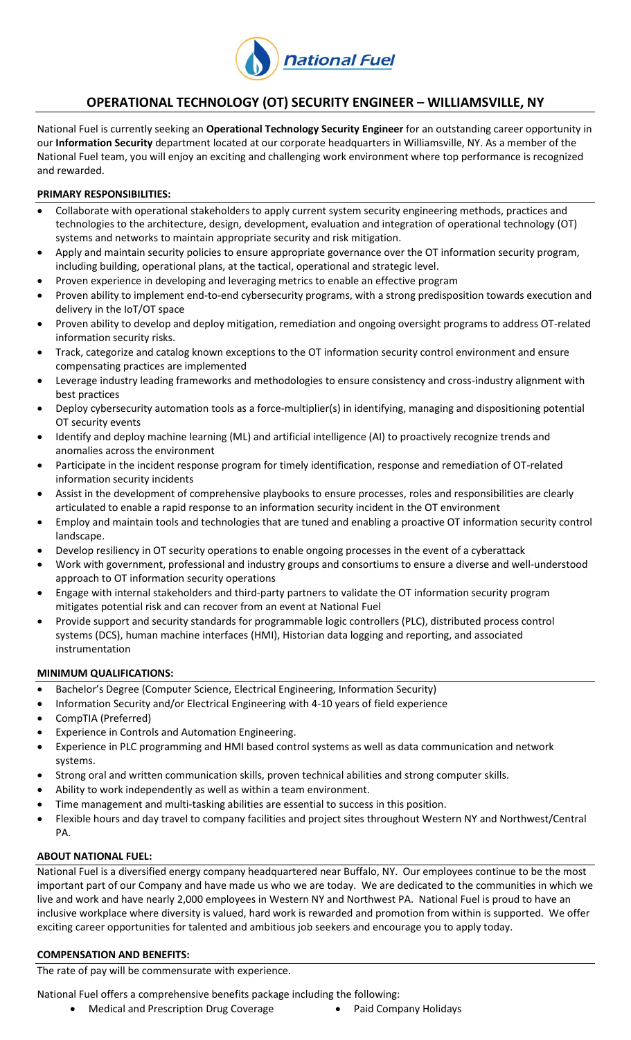

# **OPERATIONAL TECHNOLOGY (OT) SECURITY ENGINEER – WILLIAMSVILLE, NY**

National Fuel is currently seeking an **Operational Technology Security Engineer** for an outstanding career opportunity in our **Information Security** department located at our corporate headquarters in Williamsville, NY. As a member of the National Fuel team, you will enjoy an exciting and challenging work environment where top performance is recognized and rewarded.

#### **PRIMARY RESPONSIBILITIES:**

- Collaborate with operational stakeholders to apply current system security engineering methods, practices and technologies to the architecture, design, development, evaluation and integration of operational technology (OT) systems and networks to maintain appropriate security and risk mitigation.
- Apply and maintain security policies to ensure appropriate governance over the OT information security program, including building, operational plans, at the tactical, operational and strategic level.
- Proven experience in developing and leveraging metrics to enable an effective program
- Proven ability to implement end-to-end cybersecurity programs, with a strong predisposition towards execution and delivery in the IoT/OT space
- Proven ability to develop and deploy mitigation, remediation and ongoing oversight programs to address OT-related information security risks.
- Track, categorize and catalog known exceptions to the OT information security control environment and ensure compensating practices are implemented
- Leverage industry leading frameworks and methodologies to ensure consistency and cross-industry alignment with best practices
- Deploy cybersecurity automation tools as a force-multiplier(s) in identifying, managing and dispositioning potential OT security events
- Identify and deploy machine learning (ML) and artificial intelligence (AI) to proactively recognize trends and anomalies across the environment
- Participate in the incident response program for timely identification, response and remediation of OT-related information security incidents
- Assist in the development of comprehensive playbooks to ensure processes, roles and responsibilities are clearly articulated to enable a rapid response to an information security incident in the OT environment
- Employ and maintain tools and technologies that are tuned and enabling a proactive OT information security control landscape.
- Develop resiliency in OT security operations to enable ongoing processes in the event of a cyberattack
- Work with government, professional and industry groups and consortiums to ensure a diverse and well-understood approach to OT information security operations
- Engage with internal stakeholders and third-party partners to validate the OT information security program mitigates potential risk and can recover from an event at National Fuel
- Provide support and security standards for programmable logic controllers (PLC), distributed process control systems (DCS), human machine interfaces (HMI), Historian data logging and reporting, and associated instrumentation

#### **MINIMUM QUALIFICATIONS:**

- Bachelor's Degree (Computer Science, Electrical Engineering, Information Security)
- Information Security and/or Electrical Engineering with 4-10 years of field experience
- CompTIA (Preferred)
- Experience in Controls and Automation Engineering.
- Experience in PLC programming and HMI based control systems as well as data communication and network systems.
- Strong oral and written communication skills, proven technical abilities and strong computer skills.
- Ability to work independently as well as within a team environment.
- Time management and multi-tasking abilities are essential to success in this position.
- Flexible hours and day travel to company facilities and project sites throughout Western NY and Northwest/Central PA.

## **ABOUT NATIONAL FUEL:**

National Fuel is a diversified energy company headquartered near Buffalo, NY. Our employees continue to be the most important part of our Company and have made us who we are today. We are dedicated to the communities in which we live and work and have nearly 2,000 employees in Western NY and Northwest PA. National Fuel is proud to have an inclusive workplace where diversity is valued, hard work is rewarded and promotion from within is supported. We offer exciting career opportunities for talented and ambitious job seekers and encourage you to apply today.

## **COMPENSATION AND BENEFITS:**

The rate of pay will be commensurate with experience.

National Fuel offers a comprehensive benefits package including the following:

• Medical and Prescription Drug Coverage **•** Paid Company Holidays